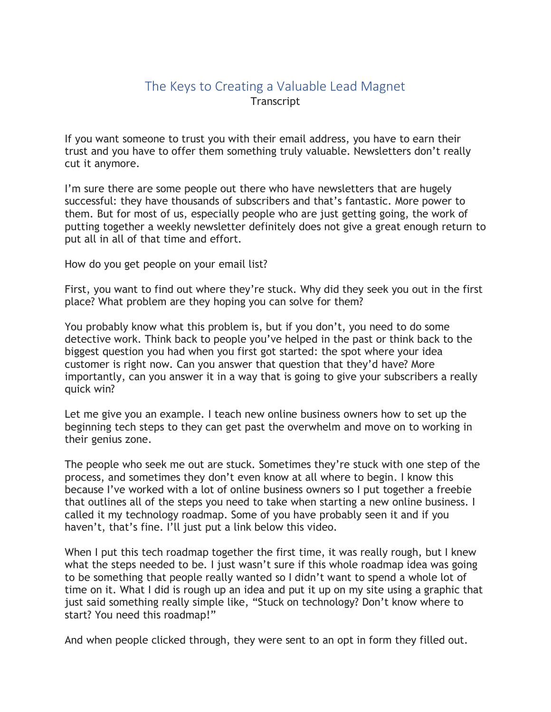## The Keys to Creating a Valuable Lead Magnet **Transcript**

If you want someone to trust you with their email address, you have to earn their trust and you have to offer them something truly valuable. Newsletters don't really cut it anymore.

I'm sure there are some people out there who have newsletters that are hugely successful: they have thousands of subscribers and that's fantastic. More power to them. But for most of us, especially people who are just getting going, the work of putting together a weekly newsletter definitely does not give a great enough return to put all in all of that time and effort.

How do you get people on your email list?

First, you want to find out where they're stuck. Why did they seek you out in the first place? What problem are they hoping you can solve for them?

You probably know what this problem is, but if you don't, you need to do some detective work. Think back to people you've helped in the past or think back to the biggest question you had when you first got started: the spot where your idea customer is right now. Can you answer that question that they'd have? More importantly, can you answer it in a way that is going to give your subscribers a really quick win?

Let me give you an example. I teach new online business owners how to set up the beginning tech steps to they can get past the overwhelm and move on to working in their genius zone.

The people who seek me out are stuck. Sometimes they're stuck with one step of the process, and sometimes they don't even know at all where to begin. I know this because I've worked with a lot of online business owners so I put together a freebie that outlines all of the steps you need to take when starting a new online business. I called it my technology roadmap. Some of you have probably seen it and if you haven't, that's fine. I'll just put a link below this video.

When I put this tech roadmap together the first time, it was really rough, but I knew what the steps needed to be. I just wasn't sure if this whole roadmap idea was going to be something that people really wanted so I didn't want to spend a whole lot of time on it. What I did is rough up an idea and put it up on my site using a graphic that just said something really simple like, "Stuck on technology? Don't know where to start? You need this roadmap!"

And when people clicked through, they were sent to an opt in form they filled out.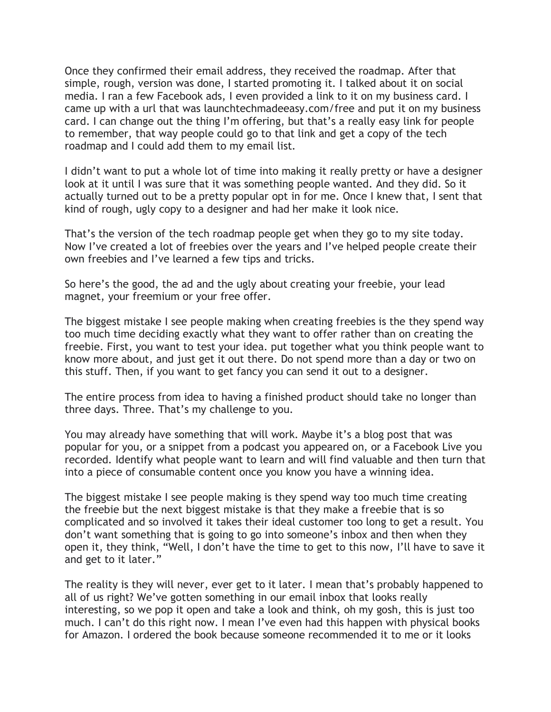Once they confirmed their email address, they received the roadmap. After that simple, rough, version was done, I started promoting it. I talked about it on social media. I ran a few Facebook ads, I even provided a link to it on my business card. I came up with a url that was launchtechmadeeasy.com/free and put it on my business card. I can change out the thing I'm offering, but that's a really easy link for people to remember, that way people could go to that link and get a copy of the tech roadmap and I could add them to my email list.

I didn't want to put a whole lot of time into making it really pretty or have a designer look at it until I was sure that it was something people wanted. And they did. So it actually turned out to be a pretty popular opt in for me. Once I knew that, I sent that kind of rough, ugly copy to a designer and had her make it look nice.

That's the version of the tech roadmap people get when they go to my site today. Now I've created a lot of freebies over the years and I've helped people create their own freebies and I've learned a few tips and tricks.

So here's the good, the ad and the ugly about creating your freebie, your lead magnet, your freemium or your free offer.

The biggest mistake I see people making when creating freebies is the they spend way too much time deciding exactly what they want to offer rather than on creating the freebie. First, you want to test your idea. put together what you think people want to know more about, and just get it out there. Do not spend more than a day or two on this stuff. Then, if you want to get fancy you can send it out to a designer.

The entire process from idea to having a finished product should take no longer than three days. Three. That's my challenge to you.

You may already have something that will work. Maybe it's a blog post that was popular for you, or a snippet from a podcast you appeared on, or a Facebook Live you recorded. Identify what people want to learn and will find valuable and then turn that into a piece of consumable content once you know you have a winning idea.

The biggest mistake I see people making is they spend way too much time creating the freebie but the next biggest mistake is that they make a freebie that is so complicated and so involved it takes their ideal customer too long to get a result. You don't want something that is going to go into someone's inbox and then when they open it, they think, "Well, I don't have the time to get to this now, I'll have to save it and get to it later."

The reality is they will never, ever get to it later. I mean that's probably happened to all of us right? We've gotten something in our email inbox that looks really interesting, so we pop it open and take a look and think, oh my gosh, this is just too much. I can't do this right now. I mean I've even had this happen with physical books for Amazon. I ordered the book because someone recommended it to me or it looks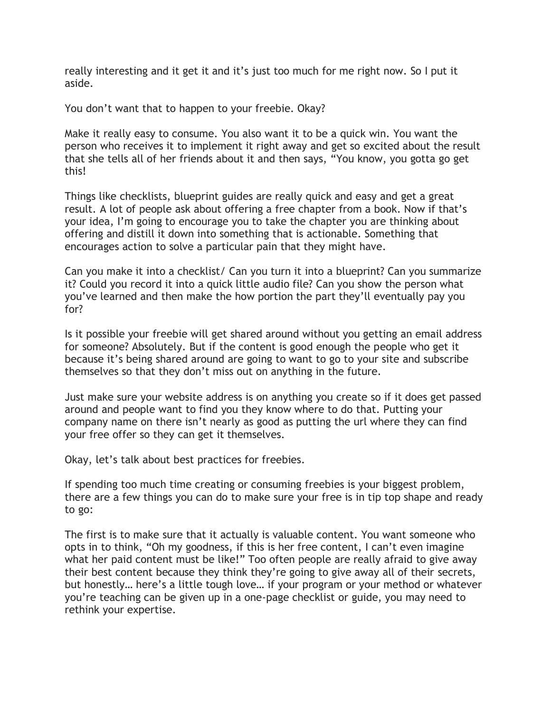really interesting and it get it and it's just too much for me right now. So I put it aside.

You don't want that to happen to your freebie. Okay?

Make it really easy to consume. You also want it to be a quick win. You want the person who receives it to implement it right away and get so excited about the result that she tells all of her friends about it and then says, "You know, you gotta go get this!

Things like checklists, blueprint guides are really quick and easy and get a great result. A lot of people ask about offering a free chapter from a book. Now if that's your idea, I'm going to encourage you to take the chapter you are thinking about offering and distill it down into something that is actionable. Something that encourages action to solve a particular pain that they might have.

Can you make it into a checklist/ Can you turn it into a blueprint? Can you summarize it? Could you record it into a quick little audio file? Can you show the person what you've learned and then make the how portion the part they'll eventually pay you for?

Is it possible your freebie will get shared around without you getting an email address for someone? Absolutely. But if the content is good enough the people who get it because it's being shared around are going to want to go to your site and subscribe themselves so that they don't miss out on anything in the future.

Just make sure your website address is on anything you create so if it does get passed around and people want to find you they know where to do that. Putting your company name on there isn't nearly as good as putting the url where they can find your free offer so they can get it themselves.

Okay, let's talk about best practices for freebies.

If spending too much time creating or consuming freebies is your biggest problem, there are a few things you can do to make sure your free is in tip top shape and ready to go:

The first is to make sure that it actually is valuable content. You want someone who opts in to think, "Oh my goodness, if this is her free content, I can't even imagine what her paid content must be like!" Too often people are really afraid to give away their best content because they think they're going to give away all of their secrets, but honestly… here's a little tough love… if your program or your method or whatever you're teaching can be given up in a one-page checklist or guide, you may need to rethink your expertise.